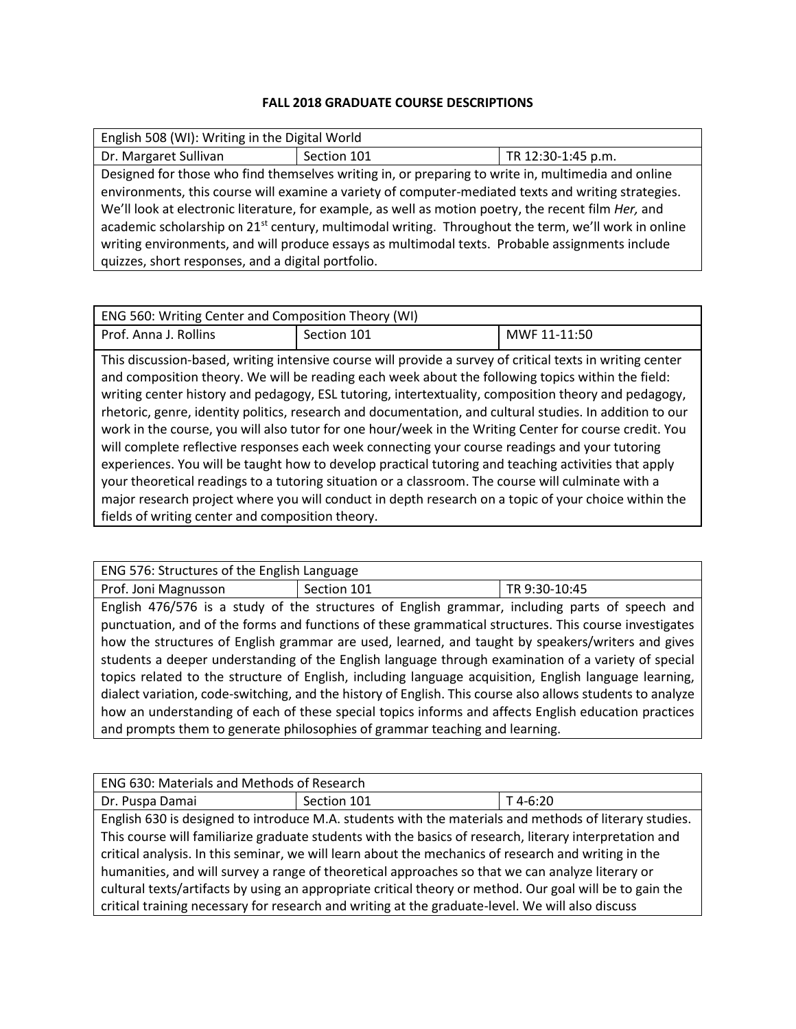## **FALL 2018 GRADUATE COURSE DESCRIPTIONS**

| English 508 (WI): Writing in the Digital World                                                                  |             |                    |  |
|-----------------------------------------------------------------------------------------------------------------|-------------|--------------------|--|
| Dr. Margaret Sullivan                                                                                           | Section 101 | TR 12:30-1:45 p.m. |  |
| Designed for those who find themselves writing in, or preparing to write in, multimedia and online              |             |                    |  |
| environments, this course will examine a variety of computer-mediated texts and writing strategies.             |             |                    |  |
| We'll look at electronic literature, for example, as well as motion poetry, the recent film <i>Her</i> , and    |             |                    |  |
| academic scholarship on 21 <sup>st</sup> century, multimodal writing. Throughout the term, we'll work in online |             |                    |  |
| writing environments, and will produce essays as multimodal texts. Probable assignments include                 |             |                    |  |
| quizzes, short responses, and a digital portfolio.                                                              |             |                    |  |

| ENG 560: Writing Center and Composition Theory (WI) |                                                                                                                                                                                                                                                                                                                                                                                                                                                                                                                                                                                                                                                                                                                                                                                                                                                                                                                                                                      |              |
|-----------------------------------------------------|----------------------------------------------------------------------------------------------------------------------------------------------------------------------------------------------------------------------------------------------------------------------------------------------------------------------------------------------------------------------------------------------------------------------------------------------------------------------------------------------------------------------------------------------------------------------------------------------------------------------------------------------------------------------------------------------------------------------------------------------------------------------------------------------------------------------------------------------------------------------------------------------------------------------------------------------------------------------|--------------|
| Prof. Anna J. Rollins                               | Section 101                                                                                                                                                                                                                                                                                                                                                                                                                                                                                                                                                                                                                                                                                                                                                                                                                                                                                                                                                          | MWF 11-11:50 |
| fields of writing center and composition theory.    | This discussion-based, writing intensive course will provide a survey of critical texts in writing center<br>and composition theory. We will be reading each week about the following topics within the field:<br>writing center history and pedagogy, ESL tutoring, intertextuality, composition theory and pedagogy,<br>rhetoric, genre, identity politics, research and documentation, and cultural studies. In addition to our<br>work in the course, you will also tutor for one hour/week in the Writing Center for course credit. You<br>will complete reflective responses each week connecting your course readings and your tutoring<br>experiences. You will be taught how to develop practical tutoring and teaching activities that apply<br>your theoretical readings to a tutoring situation or a classroom. The course will culminate with a<br>major research project where you will conduct in depth research on a topic of your choice within the |              |

| ENG 576: Structures of the English Language                                                                |             |                                                                                                        |
|------------------------------------------------------------------------------------------------------------|-------------|--------------------------------------------------------------------------------------------------------|
| Prof. Joni Magnusson                                                                                       | Section 101 | TR 9:30-10:45                                                                                          |
|                                                                                                            |             | English 476/576 is a study of the structures of English grammar, including parts of speech and         |
| punctuation, and of the forms and functions of these grammatical structures. This course investigates      |             |                                                                                                        |
| how the structures of English grammar are used, learned, and taught by speakers/writers and gives          |             |                                                                                                        |
|                                                                                                            |             | students a deeper understanding of the English language through examination of a variety of special    |
|                                                                                                            |             | topics related to the structure of English, including language acquisition, English language learning, |
| dialect variation, code-switching, and the history of English. This course also allows students to analyze |             |                                                                                                        |
|                                                                                                            |             | how an understanding of each of these special topics informs and affects English education practices   |
| and prompts them to generate philosophies of grammar teaching and learning.                                |             |                                                                                                        |

| ENG 630: Materials and Methods of Research                                                               |             |            |  |
|----------------------------------------------------------------------------------------------------------|-------------|------------|--|
| Dr. Puspa Damai                                                                                          | Section 101 | $T$ 4-6:20 |  |
| English 630 is designed to introduce M.A. students with the materials and methods of literary studies.   |             |            |  |
| This course will familiarize graduate students with the basics of research, literary interpretation and  |             |            |  |
| critical analysis. In this seminar, we will learn about the mechanics of research and writing in the     |             |            |  |
| humanities, and will survey a range of theoretical approaches so that we can analyze literary or         |             |            |  |
| cultural texts/artifacts by using an appropriate critical theory or method. Our goal will be to gain the |             |            |  |
| critical training necessary for research and writing at the graduate-level. We will also discuss         |             |            |  |